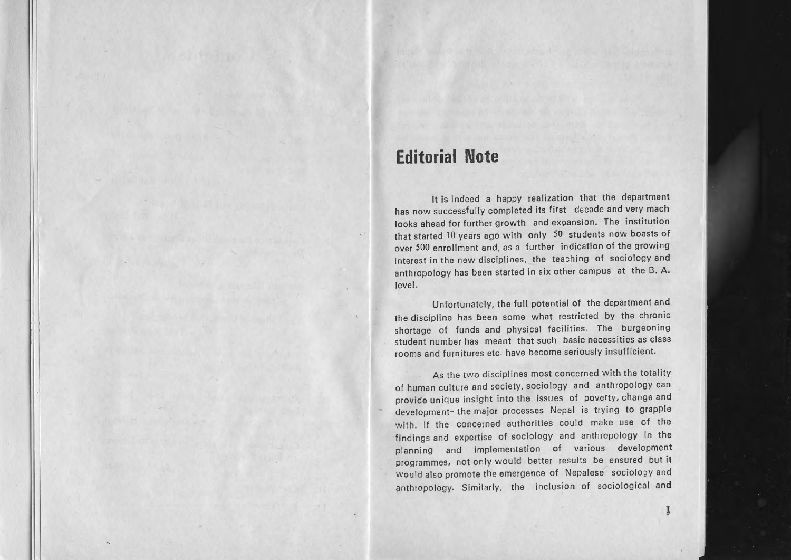## **Editorial Note**

It is indeed <sup>a</sup> happy realization that the department has now successfully completed its first decade and very mach looks ahead for further growth and exoansion. The institution that started 10 years ago with only 50 students now boasts of over 500 enrollment and. as <sup>a</sup> further indication of the growing interest in the new disciplines. the teaching of sociology and anthropology has been started in six other campus at the B. A. level.

Unfortunately. the full potential of the department and the discipline has been some what restricted by the chronic shortage of funds and physical facilities. The burgeoning student number has meant that such basic necessities as class rooms and furnitures etc. have become seriously insufficient.

As the two disciplines most concerned with the totality of human culture and society. sociology and anthropology can provide unique insight into the issues of poverty. change and development- the major processes Nepal is trying to grapPle with. If the concerned authorities could make use of the findings and expertise of sociology and anthropology in the planning and implementation of various development programmes. not only would better results be ensured but it would also promote the emergence of Nepalese sociology and anthropology. Similarly. the inclusion of sociological and

J